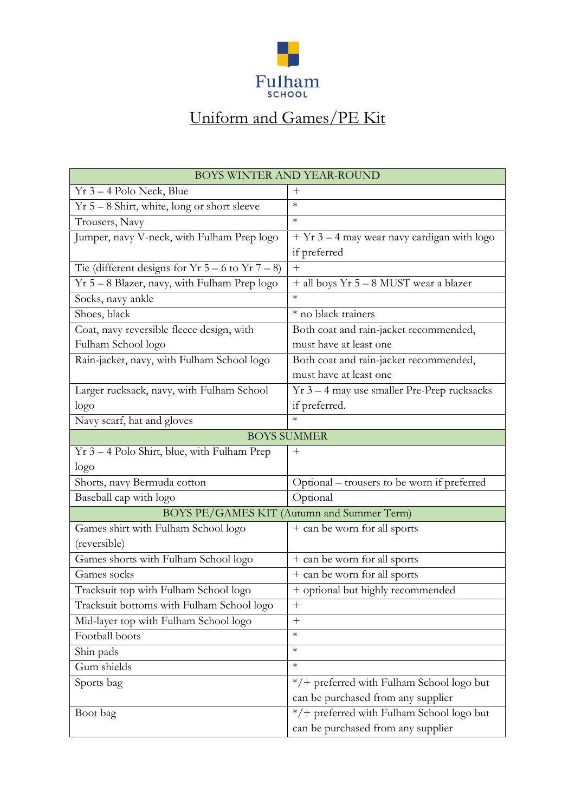

## Uniform and Games/PE Kit

| <b>BOYS WINTER AND YEAR-ROUND</b>                     |                                               |
|-------------------------------------------------------|-----------------------------------------------|
| $Yr$ 3 – 4 Polo Neck, Blue                            | $+$                                           |
| $Yr 5 - 8$ Shirt, white, long or short sleeve         | $\ast$                                        |
| Trousers, Navy                                        | $\ast$                                        |
| Jumper, navy V-neck, with Fulham Prep logo            | $+$ Yr 3 – 4 may wear navy cardigan with logo |
|                                                       | if preferred                                  |
| Tie (different designs for $Yr 5 - 6$ to $Yr 7 - 8$ ) | $\hspace{0.1mm} +$                            |
| Yr 5 - 8 Blazer, navy, with Fulham Prep logo          | + all boys Yr 5 - 8 MUST wear a blazer        |
| Socks, navy ankle                                     | $\ast$                                        |
| Shoes, black                                          | * no black trainers                           |
| Coat, navy reversible fleece design, with             | Both coat and rain-jacket recommended,        |
| Fulham School logo                                    | must have at least one                        |
| Rain-jacket, navy, with Fulham School logo            | Both coat and rain-jacket recommended,        |
|                                                       | must have at least one                        |
| Larger rucksack, navy, with Fulham School             | $Yr$ 3 – 4 may use smaller Pre-Prep rucksacks |
| logo                                                  | if preferred.                                 |
| Navy scarf, hat and gloves                            | $\ast$                                        |
| <b>BOYS SUMMER</b>                                    |                                               |
| Yr 3 - 4 Polo Shirt, blue, with Fulham Prep           | $\hspace{0.1mm} +$                            |
| logo                                                  |                                               |
| Shorts, navy Bermuda cotton                           | Optional – trousers to be worn if preferred   |
| Baseball cap with logo                                | Optional                                      |
|                                                       | BOYS PE/GAMES KIT (Autumn and Summer Term)    |
| Games shirt with Fulham School logo                   | + can be worn for all sports                  |
| (reversible)                                          |                                               |
| Games shorts with Fulham School logo                  | + can be worn for all sports                  |
| Games socks                                           | + can be worn for all sports                  |
| Tracksuit top with Fulham School logo                 | + optional but highly recommended             |
| Tracksuit bottoms with Fulham School logo             | $\hspace{0.1mm} +$                            |
| Mid-layer top with Fulham School logo                 | $^{+}$                                        |
| Football boots                                        | $\ast$                                        |
| Shin pads                                             | $\ast$                                        |
| Gum shields                                           | $\ast$                                        |
| Sports bag                                            | */+ preferred with Fulham School logo but     |
|                                                       | can be purchased from any supplier            |
| Boot bag                                              | */+ preferred with Fulham School logo but     |
|                                                       | can be purchased from any supplier            |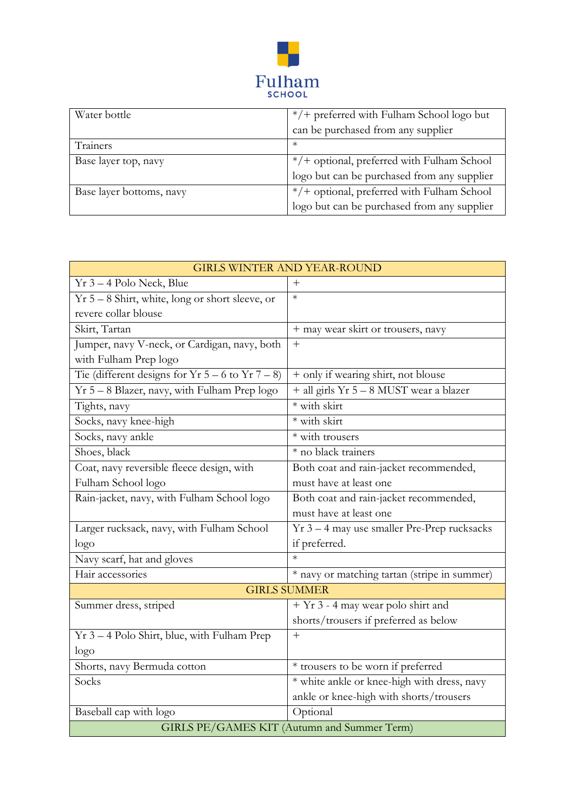

| Water bottle             | */+ preferred with Fulham School logo but   |
|--------------------------|---------------------------------------------|
|                          | can be purchased from any supplier          |
| Trainers                 | $\ast$                                      |
| Base layer top, navy     | */+ optional, preferred with Fulham School  |
|                          | logo but can be purchased from any supplier |
| Base layer bottoms, navy | */+ optional, preferred with Fulham School  |
|                          | logo but can be purchased from any supplier |

| <b>GIRLS WINTER AND YEAR-ROUND</b>                    |                                              |
|-------------------------------------------------------|----------------------------------------------|
| $Yr$ 3 – 4 Polo Neck, Blue                            |                                              |
| $Yr 5 - 8$ Shirt, white, long or short sleeve, or     | $\ast$                                       |
| revere collar blouse                                  |                                              |
| Skirt, Tartan                                         | + may wear skirt or trousers, navy           |
| Jumper, navy V-neck, or Cardigan, navy, both          | $^{+}$                                       |
| with Fulham Prep logo                                 |                                              |
| Tie (different designs for $Yr 5 - 6$ to $Yr 7 - 8$ ) | + only if wearing shirt, not blouse          |
| Yr 5 - 8 Blazer, navy, with Fulham Prep logo          | + all girls Yr 5 - 8 MUST wear a blazer      |
| Tights, navy                                          | * with skirt                                 |
| Socks, navy knee-high                                 | * with skirt                                 |
| Socks, navy ankle                                     | $\overline{\ast}$ with trousers              |
| Shoes, black                                          | * no black trainers                          |
| Coat, navy reversible fleece design, with             | Both coat and rain-jacket recommended,       |
| Fulham School logo                                    | must have at least one                       |
| Rain-jacket, navy, with Fulham School logo            | Both coat and rain-jacket recommended,       |
|                                                       | must have at least one                       |
| Larger rucksack, navy, with Fulham School             | Yr 3 - 4 may use smaller Pre-Prep rucksacks  |
| logo                                                  | if preferred.                                |
| Navy scarf, hat and gloves                            |                                              |
| Hair accessories                                      | * navy or matching tartan (stripe in summer) |
| <b>GIRLS SUMMER</b>                                   |                                              |
| Summer dress, striped                                 | + Yr 3 - 4 may wear polo shirt and           |
|                                                       | shorts/trousers if preferred as below        |
| Yr 3 – 4 Polo Shirt, blue, with Fulham Prep           | $^{+}$                                       |
| logo                                                  |                                              |
| Shorts, navy Bermuda cotton                           | * trousers to be worn if preferred           |
| Socks                                                 | * white ankle or knee-high with dress, navy  |
|                                                       | ankle or knee-high with shorts/trousers      |
| Baseball cap with logo                                | Optional                                     |
| GIRLS PE/GAMES KIT (Autumn and Summer Term)           |                                              |